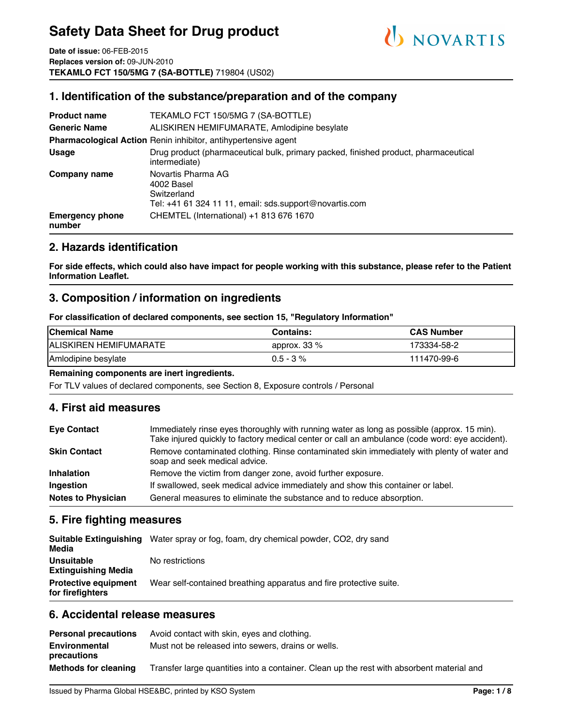

**Date of issue:** 06-FEB-2015 **Replaces version of:** 09-JUN-2010 **TEKAMLO FCT 150/5MG 7 (SA-BOTTLE)** 719804 (US02)

### **1. Identification of the substance/preparation and of the company**

| <b>Product name</b>                                                   | TEKAMLO FCT 150/5MG 7 (SA-BOTTLE)                                                                           |  |  |  |  |
|-----------------------------------------------------------------------|-------------------------------------------------------------------------------------------------------------|--|--|--|--|
| <b>Generic Name</b>                                                   | ALISKIREN HEMIFUMARATE, Amlodipine besylate                                                                 |  |  |  |  |
| <b>Pharmacological Action Renin inhibitor, antihypertensive agent</b> |                                                                                                             |  |  |  |  |
| <b>Usage</b>                                                          | Drug product (pharmaceutical bulk, primary packed, finished product, pharmaceutical<br>intermediate)        |  |  |  |  |
| Company name                                                          | Novartis Pharma AG<br>4002 Basel<br>Switzerland<br>Tel: $+41$ 61 324 11 11, email: sds.support@novartis.com |  |  |  |  |
| <b>Emergency phone</b><br>number                                      | CHEMTEL (International) +1 813 676 1670                                                                     |  |  |  |  |

### **2. Hazards identification**

**For side effects, which could also have impact for people working with this substance, please refer to the Patient Information Leaflet.**

#### **3. Composition / information on ingredients**

**For classification of declared components, see section 15, "Regulatory Information"**

| <b>Chemical Name</b>    | <b>Contains:</b> | <b>CAS Number</b> |
|-------------------------|------------------|-------------------|
| IALISKIREN HEMIFUMARATE | approx. $33\%$   | 173334-58-2       |
| Amlodipine besylate     | $0.5 - 3 \%$     | 111470-99-6       |

#### **Remaining components are inert ingredients.**

For TLV values of declared components, see Section 8, Exposure controls / Personal

#### **4. First aid measures**

| <b>Eye Contact</b>        | Immediately rinse eyes thoroughly with running water as long as possible (approx. 15 min).<br>Take injured quickly to factory medical center or call an ambulance (code word: eye accident). |  |  |  |
|---------------------------|----------------------------------------------------------------------------------------------------------------------------------------------------------------------------------------------|--|--|--|
| <b>Skin Contact</b>       | Remove contaminated clothing. Rinse contaminated skin immediately with plenty of water and<br>soap and seek medical advice.                                                                  |  |  |  |
| <b>Inhalation</b>         | Remove the victim from danger zone, avoid further exposure.                                                                                                                                  |  |  |  |
| Ingestion                 | If swallowed, seek medical advice immediately and show this container or label.                                                                                                              |  |  |  |
| <b>Notes to Physician</b> | General measures to eliminate the substance and to reduce absorption.                                                                                                                        |  |  |  |

#### **5. Fire fighting measures**

| Media                                           | Suitable Extinguishing Water spray or fog, foam, dry chemical powder, CO2, dry sand |
|-------------------------------------------------|-------------------------------------------------------------------------------------|
| Unsuitable<br><b>Extinguishing Media</b>        | No restrictions                                                                     |
| <b>Protective equipment</b><br>for firefighters | Wear self-contained breathing apparatus and fire protective suite.                  |

#### **6. Accidental release measures**

| <b>Personal precautions</b>         | Avoid contact with skin, eyes and clothing.                                               |
|-------------------------------------|-------------------------------------------------------------------------------------------|
| <b>Environmental</b><br>precautions | Must not be released into sewers, drains or wells.                                        |
| <b>Methods for cleaning</b>         | Transfer large quantities into a container. Clean up the rest with absorbent material and |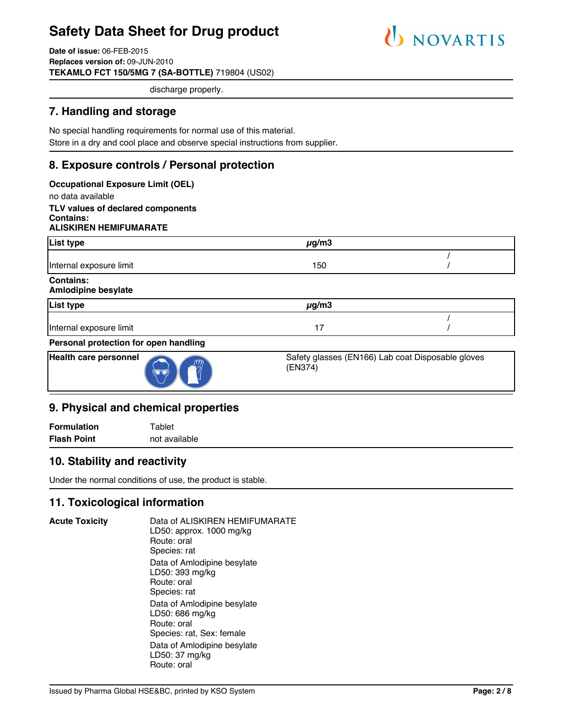

**Date of issue:** 06-FEB-2015 **Replaces version of:** 09-JUN-2010 **TEKAMLO FCT 150/5MG 7 (SA-BOTTLE)** 719804 (US02)

discharge properly.

### **7. Handling and storage**

No special handling requirements for normal use of this material. Store in a dry and cool place and observe special instructions from supplier.

### **8. Exposure controls / Personal protection**

| <b>Occupational Exposure Limit (OEL)</b>        |                                                              |  |
|-------------------------------------------------|--------------------------------------------------------------|--|
| no data available                               |                                                              |  |
| TLV values of declared components               |                                                              |  |
| Contains:<br><b>ALISKIREN HEMIFUMARATE</b>      |                                                              |  |
|                                                 |                                                              |  |
| List type                                       | $\mu$ g/m3                                                   |  |
|                                                 |                                                              |  |
| Internal exposure limit                         | 150                                                          |  |
| <b>Contains:</b>                                |                                                              |  |
| <b>Amlodipine besylate</b>                      |                                                              |  |
| List type                                       | $\mu$ g/m3                                                   |  |
|                                                 |                                                              |  |
| Internal exposure limit                         | 17                                                           |  |
| Personal protection for open handling           |                                                              |  |
| <b>Health care personnel</b><br>ID <sup>-</sup> | Safety glasses (EN166) Lab coat Disposable gloves<br>(EN374) |  |

#### **9. Physical and chemical properties**

**Formulation** Tablet **Flash Point** not available

### **10. Stability and reactivity**

Under the normal conditions of use, the product is stable.

### **11. Toxicological information**

**Acute Toxicity** Data of ALISKIREN HEMIFUMARATE LD50: approx. 1000 mg/kg Route: oral Species: rat Data of Amlodipine besylate LD50: 393 mg/kg Route: oral Species: rat Data of Amlodipine besylate LD50: 686 mg/kg Route: oral Species: rat, Sex: female Data of Amlodipine besylate LD50: 37 mg/kg Route: oral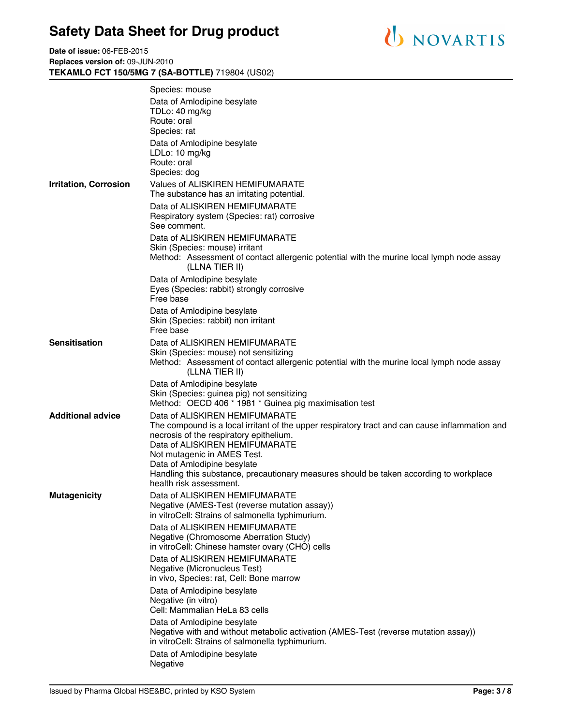**Date of issue:** 06-FEB-2015 **Replaces version of:** 09-JUN-2010 **TEKAMLO FCT 150/5MG 7 (SA-BOTTLE)** 719804 (US02)

|                              | Species: mouse<br>Data of Amlodipine besylate<br>TDLo: 40 mg/kg<br>Route: oral<br>Species: rat                                                                                                                                                                                                                                                                                                   |
|------------------------------|--------------------------------------------------------------------------------------------------------------------------------------------------------------------------------------------------------------------------------------------------------------------------------------------------------------------------------------------------------------------------------------------------|
|                              | Data of Amlodipine besylate<br>LDLo: 10 mg/kg<br>Route: oral<br>Species: dog                                                                                                                                                                                                                                                                                                                     |
| <b>Irritation, Corrosion</b> | Values of ALISKIREN HEMIFUMARATE<br>The substance has an irritating potential.                                                                                                                                                                                                                                                                                                                   |
|                              | Data of ALISKIREN HEMIFUMARATE<br>Respiratory system (Species: rat) corrosive<br>See comment.                                                                                                                                                                                                                                                                                                    |
|                              | Data of ALISKIREN HEMIFUMARATE<br>Skin (Species: mouse) irritant<br>Method: Assessment of contact allergenic potential with the murine local lymph node assay<br>(LLNA TIER II)                                                                                                                                                                                                                  |
|                              | Data of Amlodipine besylate<br>Eyes (Species: rabbit) strongly corrosive<br>Free base                                                                                                                                                                                                                                                                                                            |
|                              | Data of Amlodipine besylate<br>Skin (Species: rabbit) non irritant<br>Free base                                                                                                                                                                                                                                                                                                                  |
| Sensitisation                | Data of ALISKIREN HEMIFUMARATE<br>Skin (Species: mouse) not sensitizing<br>Method: Assessment of contact allergenic potential with the murine local lymph node assay<br>(LLNA TIER II)                                                                                                                                                                                                           |
|                              | Data of Amlodipine besylate<br>Skin (Species: guinea pig) not sensitizing<br>Method: OECD 406 * 1981 * Guinea pig maximisation test                                                                                                                                                                                                                                                              |
| <b>Additional advice</b>     | Data of ALISKIREN HEMIFUMARATE<br>The compound is a local irritant of the upper respiratory tract and can cause inflammation and<br>necrosis of the respiratory epithelium.<br>Data of ALISKIREN HEMIFUMARATE<br>Not mutagenic in AMES Test.<br>Data of Amlodipine besylate<br>Handling this substance, precautionary measures should be taken according to workplace<br>health risk assessment. |
| <b>Mutagenicity</b>          | Data of ALISKIREN HEMIFUMARATE<br>Negative (AMES-Test (reverse mutation assay))<br>in vitroCell: Strains of salmonella typhimurium.                                                                                                                                                                                                                                                              |
|                              | Data of ALISKIREN HEMIFUMARATE<br>Negative (Chromosome Aberration Study)<br>in vitroCell: Chinese hamster ovary (CHO) cells                                                                                                                                                                                                                                                                      |
|                              | Data of ALISKIREN HEMIFUMARATE<br>Negative (Micronucleus Test)<br>in vivo, Species: rat, Cell: Bone marrow                                                                                                                                                                                                                                                                                       |
|                              | Data of Amlodipine besylate<br>Negative (in vitro)<br>Cell: Mammalian HeLa 83 cells                                                                                                                                                                                                                                                                                                              |
|                              | Data of Amlodipine besylate<br>Negative with and without metabolic activation (AMES-Test (reverse mutation assay))<br>in vitroCell: Strains of salmonella typhimurium.                                                                                                                                                                                                                           |
|                              | Data of Amlodipine besylate<br>Negative                                                                                                                                                                                                                                                                                                                                                          |
|                              |                                                                                                                                                                                                                                                                                                                                                                                                  |

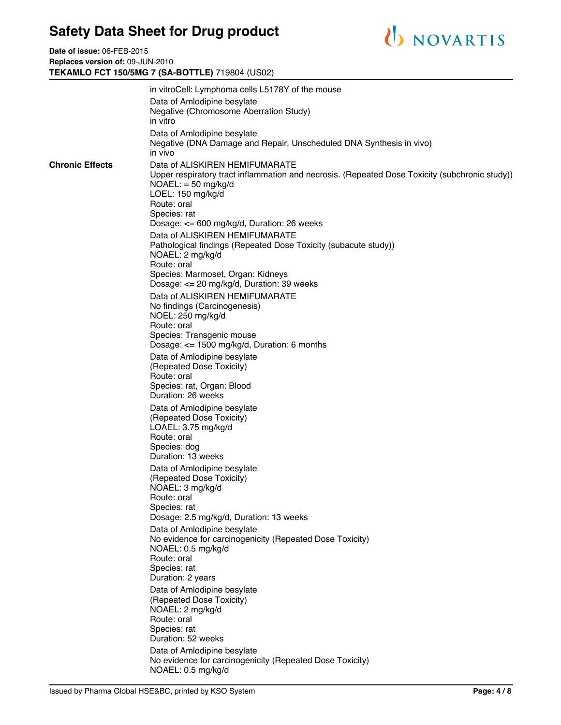**Date of issue:** 06-FEB-2015 **Replaces version of:** 09-JUN-2010 **TEKAMLO FCT 150/5MG 7 (SA-BOTTLE)** 719804 (US02)



|                        | in vitroCell: Lymphoma cells L5178Y of the mouse                                                                                                                                              |
|------------------------|-----------------------------------------------------------------------------------------------------------------------------------------------------------------------------------------------|
|                        | Data of Amlodipine besylate                                                                                                                                                                   |
|                        | Negative (Chromosome Aberration Study)                                                                                                                                                        |
|                        | in vitro                                                                                                                                                                                      |
|                        | Data of Amlodipine besylate<br>Negative (DNA Damage and Repair, Unscheduled DNA Synthesis in vivo)<br>in vivo                                                                                 |
| <b>Chronic Effects</b> | Data of ALISKIREN HEMIFUMARATE<br>Upper respiratory tract inflammation and necrosis. (Repeated Dose Toxicity (subchronic study))<br>$NOAEL: = 50$ mg/kg/d<br>LOEL: 150 mg/kg/d<br>Route: oral |
|                        | Species: rat                                                                                                                                                                                  |
|                        | Dosage: <= 600 mg/kg/d, Duration: 26 weeks                                                                                                                                                    |
|                        | Data of ALISKIREN HEMIFUMARATE<br>Pathological findings (Repeated Dose Toxicity (subacute study))<br>NOAEL: 2 mg/kg/d                                                                         |
|                        | Route: oral                                                                                                                                                                                   |
|                        | Species: Marmoset, Organ: Kidneys<br>Dosage: <= 20 mg/kg/d, Duration: 39 weeks                                                                                                                |
|                        | Data of ALISKIREN HEMIFUMARATE                                                                                                                                                                |
|                        | No findings (Carcinogenesis)                                                                                                                                                                  |
|                        | NOEL: 250 mg/kg/d                                                                                                                                                                             |
|                        | Route: oral<br>Species: Transgenic mouse                                                                                                                                                      |
|                        | Dosage: $\le$ 1500 mg/kg/d, Duration: 6 months                                                                                                                                                |
|                        | Data of Amlodipine besylate                                                                                                                                                                   |
|                        | (Repeated Dose Toxicity)                                                                                                                                                                      |
|                        | Route: oral                                                                                                                                                                                   |
|                        | Species: rat, Organ: Blood<br>Duration: 26 weeks                                                                                                                                              |
|                        | Data of Amlodipine besylate<br>(Repeated Dose Toxicity)<br>LOAEL: 3.75 mg/kg/d<br>Route: oral                                                                                                 |
|                        | Species: dog                                                                                                                                                                                  |
|                        | Duration: 13 weeks                                                                                                                                                                            |
|                        | Data of Amlodipine besylate<br>(Repeated Dose Toxicity)<br>NOAEL: 3 mg/kg/d                                                                                                                   |
|                        | Route: oral                                                                                                                                                                                   |
|                        | Species: rat<br>Dosage: 2.5 mg/kg/d, Duration: 13 weeks                                                                                                                                       |
|                        | Data of Amlodipine besylate<br>No evidence for carcinogenicity (Repeated Dose Toxicity)                                                                                                       |
|                        | NOAEL: 0.5 mg/kg/d                                                                                                                                                                            |
|                        | Route: oral<br>Species: rat                                                                                                                                                                   |
|                        | Duration: 2 years                                                                                                                                                                             |
|                        | Data of Amlodipine besylate<br>(Repeated Dose Toxicity)                                                                                                                                       |
|                        | NOAEL: 2 mg/kg/d                                                                                                                                                                              |
|                        | Route: oral<br>Species: rat                                                                                                                                                                   |
|                        | Duration: 52 weeks                                                                                                                                                                            |
|                        | Data of Amlodipine besylate                                                                                                                                                                   |
|                        | No evidence for carcinogenicity (Repeated Dose Toxicity)<br>NOAEL: 0.5 mg/kg/d                                                                                                                |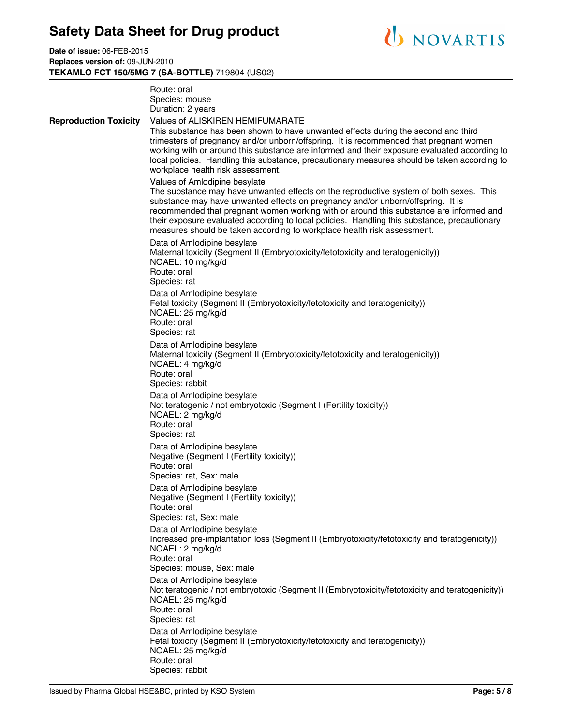

**Date of issue:** 06-FEB-2015 **Replaces version of:** 09-JUN-2010 **TEKAMLO FCT 150/5MG 7 (SA-BOTTLE)** 719804 (US02)

|                              | Route: oral<br>Species: mouse<br>Duration: 2 years                                                                                                                                                                                                                                                                                                                                                                                                                              |  |  |  |
|------------------------------|---------------------------------------------------------------------------------------------------------------------------------------------------------------------------------------------------------------------------------------------------------------------------------------------------------------------------------------------------------------------------------------------------------------------------------------------------------------------------------|--|--|--|
| <b>Reproduction Toxicity</b> | Values of ALISKIREN HEMIFUMARATE<br>This substance has been shown to have unwanted effects during the second and third<br>trimesters of pregnancy and/or unborn/offspring. It is recommended that pregnant women<br>working with or around this substance are informed and their exposure evaluated according to<br>local policies. Handling this substance, precautionary measures should be taken according to<br>workplace health risk assessment.                           |  |  |  |
|                              | Values of Amlodipine besylate<br>The substance may have unwanted effects on the reproductive system of both sexes. This<br>substance may have unwanted effects on pregnancy and/or unborn/offspring. It is<br>recommended that pregnant women working with or around this substance are informed and<br>their exposure evaluated according to local policies. Handling this substance, precautionary<br>measures should be taken according to workplace health risk assessment. |  |  |  |
|                              | Data of Amlodipine besylate<br>Maternal toxicity (Segment II (Embryotoxicity/fetotoxicity and teratogenicity))<br>NOAEL: 10 mg/kg/d<br>Route: oral<br>Species: rat                                                                                                                                                                                                                                                                                                              |  |  |  |
|                              | Data of Amlodipine besylate<br>Fetal toxicity (Segment II (Embryotoxicity/fetotoxicity and teratogenicity))<br>NOAEL: 25 mg/kg/d<br>Route: oral<br>Species: rat                                                                                                                                                                                                                                                                                                                 |  |  |  |
|                              | Data of Amlodipine besylate<br>Maternal toxicity (Segment II (Embryotoxicity/fetotoxicity and teratogenicity))<br>NOAEL: 4 mg/kg/d<br>Route: oral<br>Species: rabbit                                                                                                                                                                                                                                                                                                            |  |  |  |
|                              | Data of Amlodipine besylate<br>Not teratogenic / not embryotoxic (Segment I (Fertility toxicity))<br>NOAEL: 2 mg/kg/d<br>Route: oral<br>Species: rat                                                                                                                                                                                                                                                                                                                            |  |  |  |
|                              | Data of Amlodipine besylate<br>Negative (Segment I (Fertility toxicity))<br>Route: oral<br>Species: rat, Sex: male                                                                                                                                                                                                                                                                                                                                                              |  |  |  |
|                              | Data of Amlodipine besylate<br>Negative (Segment I (Fertility toxicity))<br>Route: oral<br>Species: rat, Sex: male                                                                                                                                                                                                                                                                                                                                                              |  |  |  |
|                              | Data of Amlodipine besylate<br>Increased pre-implantation loss (Segment II (Embryotoxicity/fetotoxicity and teratogenicity))<br>NOAEL: 2 mg/kg/d<br>Route: oral<br>Species: mouse, Sex: male                                                                                                                                                                                                                                                                                    |  |  |  |
|                              | Data of Amlodipine besylate<br>Not teratogenic / not embryotoxic (Segment II (Embryotoxicity/fetotoxicity and teratogenicity))<br>NOAEL: 25 mg/kg/d<br>Route: oral<br>Species: rat                                                                                                                                                                                                                                                                                              |  |  |  |
|                              | Data of Amlodipine besylate<br>Fetal toxicity (Segment II (Embryotoxicity/fetotoxicity and teratogenicity))<br>NOAEL: 25 mg/kg/d<br>Route: oral<br>Species: rabbit                                                                                                                                                                                                                                                                                                              |  |  |  |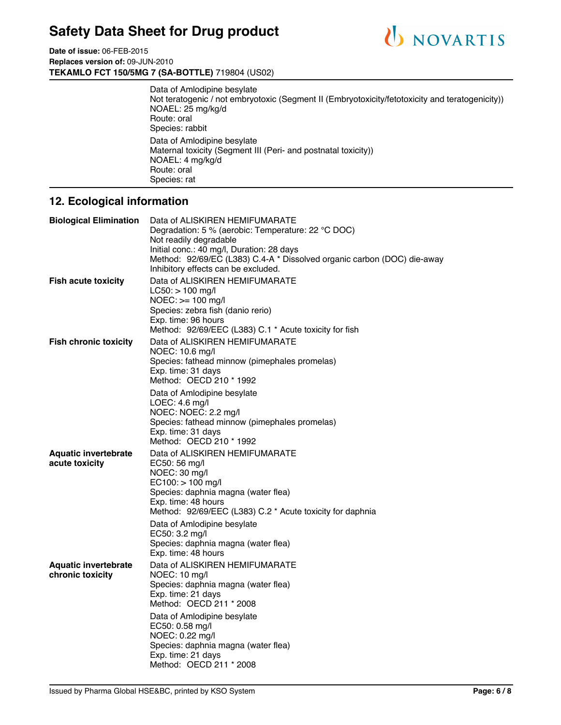



Data of Amlodipine besylate Not teratogenic / not embryotoxic (Segment II (Embryotoxicity/fetotoxicity and teratogenicity)) NOAEL: 25 mg/kg/d Route: oral Species: rabbit Data of Amlodipine besylate Maternal toxicity (Segment III (Peri- and postnatal toxicity)) NOAEL: 4 mg/kg/d Route: oral Species: rat

### **12. Ecological information**

| <b>Biological Elimination</b>                   | Data of ALISKIREN HEMIFUMARATE<br>Degradation: 5 % (aerobic: Temperature: 22 °C DOC)<br>Not readily degradable<br>Initial conc.: 40 mg/l, Duration: 28 days<br>Method: 92/69/EC (L383) C.4-A * Dissolved organic carbon (DOC) die-away<br>Inhibitory effects can be excluded. |
|-------------------------------------------------|-------------------------------------------------------------------------------------------------------------------------------------------------------------------------------------------------------------------------------------------------------------------------------|
| <b>Fish acute toxicity</b>                      | Data of ALISKIREN HEMIFUMARATE<br>$LC50:$ > 100 mg/l<br>$NOEC:>= 100$ mg/l<br>Species: zebra fish (danio rerio)<br>Exp. time: 96 hours<br>Method: 92/69/EEC (L383) C.1 * Acute toxicity for fish                                                                              |
| <b>Fish chronic toxicity</b>                    | Data of ALISKIREN HEMIFUMARATE<br>NOEC: 10.6 mg/l<br>Species: fathead minnow (pimephales promelas)<br>Exp. time: 31 days<br>Method: OECD 210 * 1992<br>Data of Amlodipine besylate                                                                                            |
|                                                 | LOEC: 4.6 mg/l<br>NOEC: NOEC: 2.2 mg/l<br>Species: fathead minnow (pimephales promelas)<br>Exp. time: 31 days<br>Method: OECD 210 * 1992                                                                                                                                      |
| <b>Aquatic invertebrate</b><br>acute toxicity   | Data of ALISKIREN HEMIFUMARATE<br>EC50: 56 mg/l<br>NOEC: 30 mg/l<br>EC100: > 100 mg/l<br>Species: daphnia magna (water flea)<br>Exp. time: 48 hours<br>Method: 92/69/EEC (L383) C.2 * Acute toxicity for daphnia                                                              |
|                                                 | Data of Amlodipine besylate<br>EC50: 3.2 mg/l<br>Species: daphnia magna (water flea)<br>Exp. time: 48 hours                                                                                                                                                                   |
| <b>Aquatic invertebrate</b><br>chronic toxicity | Data of ALISKIREN HEMIFUMARATE<br>NOEC: 10 mg/l<br>Species: daphnia magna (water flea)<br>Exp. time: 21 days<br>Method: OECD 211 * 2008                                                                                                                                       |
|                                                 | Data of Amlodipine besylate<br>EC50: 0.58 mg/l<br>NOEC: 0.22 mg/l<br>Species: daphnia magna (water flea)<br>Exp. time: 21 days<br>Method: OECD 211 * 2008                                                                                                                     |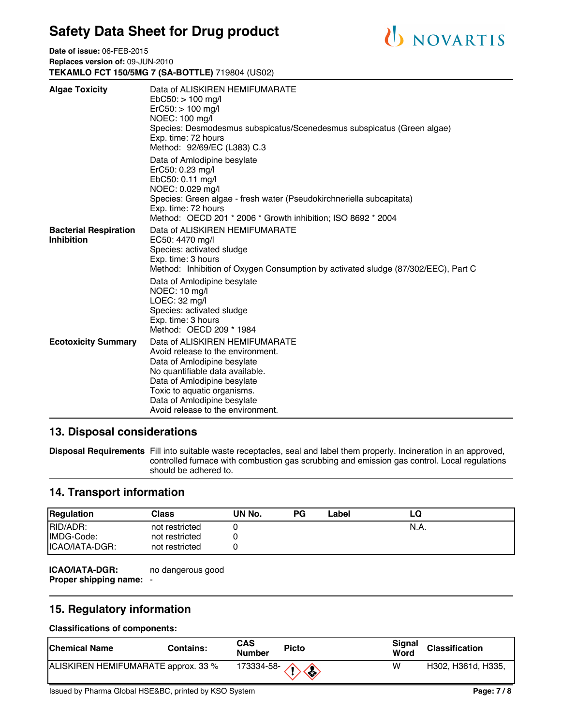

**Date of issue:** 06-FEB-2015 **Replaces version of:** 09-JUN-2010 **TEKAMLO FCT 150/5MG 7 (SA-BOTTLE)** 719804 (US02)

| <b>Algae Toxicity</b>                             | Data of ALISKIREN HEMIFUMARATE<br>$EbC50:$ > 100 mg/l<br>$ErC50:$ > 100 mg/l<br>NOEC: 100 mg/l<br>Species: Desmodesmus subspicatus/Scenedesmus subspicatus (Green algae)<br>Exp. time: 72 hours<br>Method: 92/69/EC (L383) C.3                                                                                                             |
|---------------------------------------------------|--------------------------------------------------------------------------------------------------------------------------------------------------------------------------------------------------------------------------------------------------------------------------------------------------------------------------------------------|
|                                                   | Data of Amlodipine besylate<br>ErC50: 0.23 mg/l<br>EbC50: 0.11 mg/l<br>NOEC: 0.029 mg/l<br>Species: Green algae - fresh water (Pseudokirchneriella subcapitata)<br>Exp. time: 72 hours<br>Method: OECD 201 * 2006 * Growth inhibition; ISO 8692 * 2004                                                                                     |
| <b>Bacterial Respiration</b><br><b>Inhibition</b> | Data of ALISKIREN HEMIFUMARATE<br>EC50: 4470 mg/l<br>Species: activated sludge<br>Exp. time: 3 hours<br>Method: Inhibition of Oxygen Consumption by activated sludge (87/302/EEC), Part C<br>Data of Amlodipine besylate<br>NOEC: 10 mg/l<br>$LOEC: 32$ mg/l<br>Species: activated sludge<br>Exp. time: 3 hours<br>Method: OECD 209 * 1984 |
| <b>Ecotoxicity Summary</b>                        | Data of ALISKIREN HEMIFUMARATE<br>Avoid release to the environment.<br>Data of Amlodipine besylate<br>No quantifiable data available.<br>Data of Amlodipine besylate<br>Toxic to aquatic organisms.<br>Data of Amlodipine besylate<br>Avoid release to the environment.                                                                    |

### **13. Disposal considerations**

**Disposal Requirements** Fill into suitable waste receptacles, seal and label them properly. Incineration in an approved, controlled furnace with combustion gas scrubbing and emission gas control. Local regulations should be adhered to.

### **14. Transport information**

| <b>Regulation</b> | Class          | UN No. | <b>PG</b> | Label | LQ   |
|-------------------|----------------|--------|-----------|-------|------|
| RID/ADR:          | not restricted |        |           |       | N.A. |
| IMDG-Code:        | not restricted |        |           |       |      |
| ICAO/IATA-DGR:    | not restricted |        |           |       |      |

**ICAO/IATA-DGR: Proper shipping name:** no dangerous good

### **15. Regulatory information**

#### **Classifications of components:**

| lChemical Name                      | Contains: | CAS<br><b>Number</b>        | <b>Picto</b> | Signal<br>Word | <b>Classification</b> |
|-------------------------------------|-----------|-----------------------------|--------------|----------------|-----------------------|
| ALISKIREN HEMIFUMARATE approx. 33 % |           | $173334-58 \langle \rangle$ |              | w              | H302, H361d, H335,    |